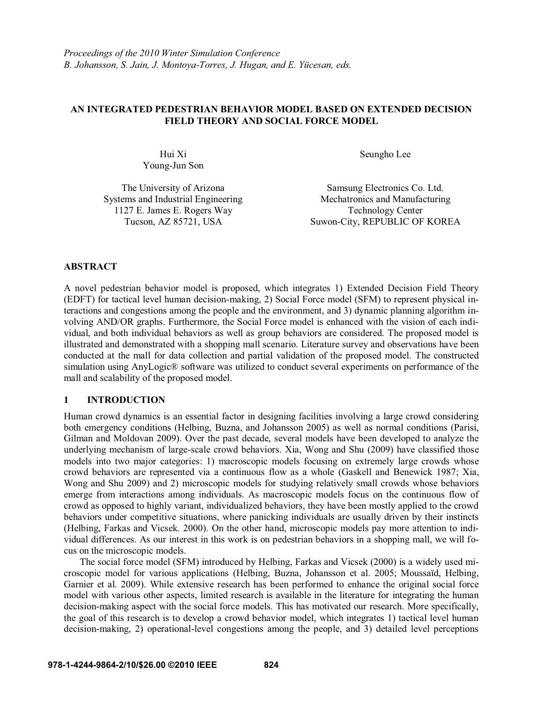# **AN INTEGRATED PEDESTRIAN BEHAVIOR MODEL BASED ON EXTENDED DECISION FIELD THEORY AND SOCIAL FORCE MODEL**

Young-Jun Son

The University of Arizona Systems and Industrial Engineering 1127 E. James E. Rogers Way

Hui Xi Seungho Lee

Samsung Electronics Co. Ltd. Mechatronics and Manufacturing Technology Center Tucson, AZ 85721, USA Suwon-City, REPUBLIC OF KOREA

### **ABSTRACT**

A novel pedestrian behavior model is proposed, which integrates 1) Extended Decision Field Theory (EDFT) for tactical level human decision-making, 2) Social Force model (SFM) to represent physical interactions and congestions among the people and the environment, and 3) dynamic planning algorithm involving AND/OR graphs. Furthermore, the Social Force model is enhanced with the vision of each individual, and both individual behaviors as well as group behaviors are considered. The proposed model is illustrated and demonstrated with a shopping mall scenario. Literature survey and observations have been conducted at the mall for data collection and partial validation of the proposed model. The constructed simulation using AnyLogic® software was utilized to conduct several experiments on performance of the mall and scalability of the proposed model.

# **1 INTRODUCTION**

Human crowd dynamics is an essential factor in designing facilities involving a large crowd considering both emergency conditions (Helbing, Buzna, and Johansson 2005) as well as normal conditions (Parisi, Gilman and Moldovan 2009). Over the past decade, several models have been developed to analyze the underlying mechanism of large-scale crowd behaviors. Xia, Wong and Shu (2009) have classified those models into two major categories: 1) macroscopic models focusing on extremely large crowds whose crowd behaviors are represented via a continuous flow as a whole (Gaskell and Benewick 1987; Xia, Wong and Shu 2009) and 2) microscopic models for studying relatively small crowds whose behaviors emerge from interactions among individuals. As macroscopic models focus on the continuous flow of crowd as opposed to highly variant, individualized behaviors, they have been mostly applied to the crowd behaviors under competitive situations, where panicking individuals are usually driven by their instincts (Helbing, Farkas and Vicsek. 2000). On the other hand, microscopic models pay more attention to individual differences. As our interest in this work is on pedestrian behaviors in a shopping mall, we will focus on the microscopic models.

 The social force model (SFM) introduced by Helbing, Farkas and Vicsek (2000) is a widely used microscopic model for various applications (Helbing, Buzna, Johansson et al. 2005; Moussaïd, Helbing, Garnier et al. 2009). While extensive research has been performed to enhance the original social force model with various other aspects, limited research is available in the literature for integrating the human decision-making aspect with the social force models. This has motivated our research. More specifically, the goal of this research is to develop a crowd behavior model, which integrates 1) tactical level human decision-making, 2) operational-level congestions among the people, and 3) detailed level perceptions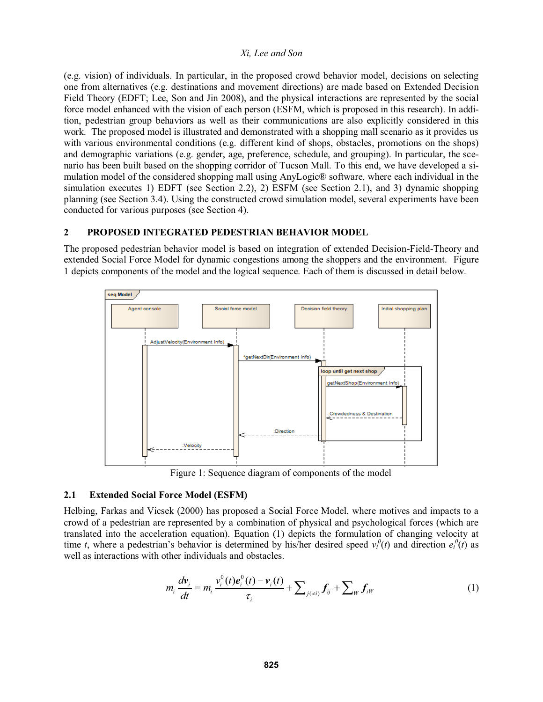(e.g. vision) of individuals. In particular, in the proposed crowd behavior model, decisions on selecting one from alternatives (e.g. destinations and movement directions) are made based on Extended Decision Field Theory (EDFT; Lee, Son and Jin 2008), and the physical interactions are represented by the social force model enhanced with the vision of each person (ESFM, which is proposed in this research). In addition, pedestrian group behaviors as well as their communications are also explicitly considered in this work. The proposed model is illustrated and demonstrated with a shopping mall scenario as it provides us with various environmental conditions (e.g. different kind of shops, obstacles, promotions on the shops) and demographic variations (e.g. gender, age, preference, schedule, and grouping). In particular, the scenario has been built based on the shopping corridor of Tucson Mall. To this end, we have developed a simulation model of the considered shopping mall using AnyLogic® software, where each individual in the simulation executes 1) EDFT (see Section 2.2), 2) ESFM (see Section 2.1), and 3) dynamic shopping planning (see Section 3.4). Using the constructed crowd simulation model, several experiments have been conducted for various purposes (see Section 4).

# **2 PROPOSED INTEGRATED PEDESTRIAN BEHAVIOR MODEL**

The proposed pedestrian behavior model is based on integration of extended Decision-Field-Theory and extended Social Force Model for dynamic congestions among the shoppers and the environment. Figure 1 depicts components of the model and the logical sequence. Each of them is discussed in detail below.



Figure 1: Sequence diagram of components of the model

# **2.1 Extended Social Force Model (ESFM)**

Helbing, Farkas and Vicsek (2000) has proposed a Social Force Model, where motives and impacts to a crowd of a pedestrian are represented by a combination of physical and psychological forces (which are translated into the acceleration equation). Equation (1) depicts the formulation of changing velocity at time *t*, where a pedestrian's behavior is determined by his/her desired speed  $v_i^0(t)$  and direction  $e_i^0(t)$  as well as interactions with other individuals and obstacles.

$$
m_i \frac{dv_i}{dt} = m_i \frac{v_i^0(t) e_i^0(t) - v_i(t)}{\tau_i} + \sum_{j(\neq i)} f_{ij} + \sum_W f_{iW}
$$
 (1)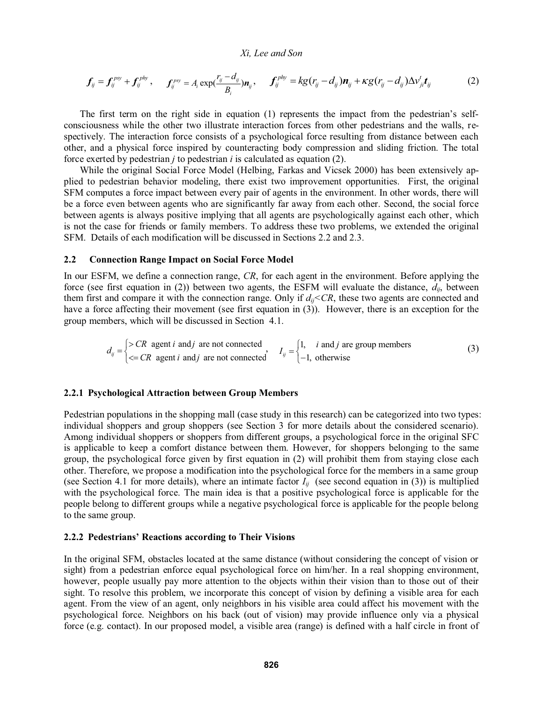$$
\boldsymbol{f}_{ij} = \boldsymbol{f}_{ij}^{psy} + \boldsymbol{f}_{ij}^{phy}, \qquad \boldsymbol{f}_{ij}^{psy} = A_i \exp(\frac{r_{ij} - d_{ij}}{B_i}) \boldsymbol{n}_y, \qquad \boldsymbol{f}_{ij}^{phy} = k g (r_{ij} - d_{ij}) \boldsymbol{n}_{ij} + \kappa g (r_{ij} - d_{ij}) \Delta v_{ji}^t \boldsymbol{t}_{ij}
$$
(2)

The first term on the right side in equation  $(1)$  represents the impact from the pedestrian's selfconsciousness while the other two illustrate interaction forces from other pedestrians and the walls, respectively. The interaction force consists of a psychological force resulting from distance between each other, and a physical force inspired by counteracting body compression and sliding friction. The total force exerted by pedestrian *j* to pedestrian *i* is calculated as equation (2).

 While the original Social Force Model (Helbing, Farkas and Vicsek 2000) has been extensively applied to pedestrian behavior modeling, there exist two improvement opportunities. First, the original SFM computes a force impact between every pair of agents in the environment. In other words, there will be a force even between agents who are significantly far away from each other. Second, the social force between agents is always positive implying that all agents are psychologically against each other, which is not the case for friends or family members. To address these two problems, we extended the original SFM. Details of each modification will be discussed in Sections 2.2 and 2.3.

#### **2.2 Connection Range Impact on Social Force Model**

In our ESFM, we define a connection range, *CR*, for each agent in the environment. Before applying the force (see first equation in (2)) between two agents, the ESFM will evaluate the distance,  $d_{ij}$ , between them first and compare it with the connection range. Only if  $d_{ii} < CR$ , these two agents are connected and have a force affecting their movement (see first equation in (3)). However, there is an exception for the group members, which will be discussed in Section 4.1.

$$
d_{ij} =\begin{cases} > CR & \text{agent } i \text{ and } j \text{ are not connected} \\ \langle & \text{if } i \text{ and } j \text{ are given} \rangle \end{cases}
$$
  

$$
d_{ij} =\begin{cases} 1, & i \text{ and } j \text{ are group members} \\ -1, & \text{otherwise} \end{cases}
$$
 (3)

#### **2.2.1 Psychological Attraction between Group Members**

Pedestrian populations in the shopping mall (case study in this research) can be categorized into two types: individual shoppers and group shoppers (see Section 3 for more details about the considered scenario). Among individual shoppers or shoppers from different groups, a psychological force in the original SFC is applicable to keep a comfort distance between them. However, for shoppers belonging to the same group, the psychological force given by first equation in (2) will prohibit them from staying close each other. Therefore, we propose a modification into the psychological force for the members in a same group (see Section 4.1 for more details), where an intimate factor  $I_{ii}$  (see second equation in (3)) is multiplied with the psychological force. The main idea is that a positive psychological force is applicable for the people belong to different groups while a negative psychological force is applicable for the people belong to the same group.

# 2.2.2 Pedestrians' Reactions according to Their Visions

In the original SFM, obstacles located at the same distance (without considering the concept of vision or sight) from a pedestrian enforce equal psychological force on him/her. In a real shopping environment, however, people usually pay more attention to the objects within their vision than to those out of their sight. To resolve this problem, we incorporate this concept of vision by defining a visible area for each agent. From the view of an agent, only neighbors in his visible area could affect his movement with the psychological force. Neighbors on his back (out of vision) may provide influence only via a physical force (e.g. contact). In our proposed model, a visible area (range) is defined with a half circle in front of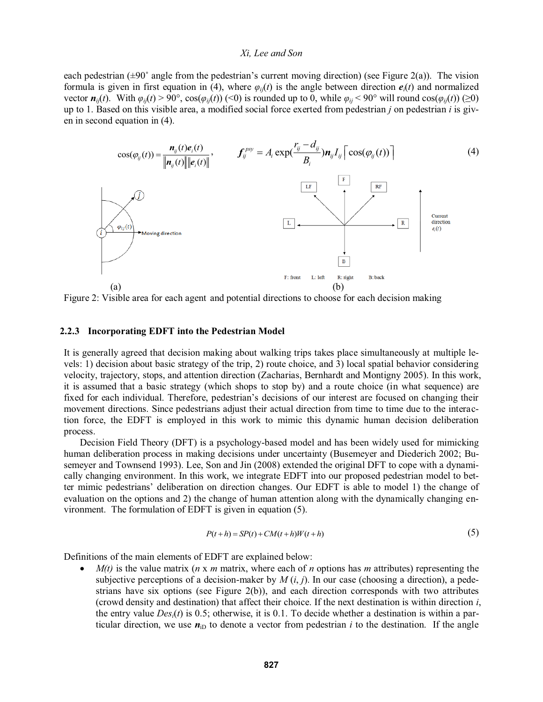each pedestrian  $(\pm 90^{\circ}$  angle from the pedestrian's current moving direction) (see Figure 2(a)). The vision formula is given in first equation in (4), where  $\varphi_{ij}(t)$  is the angle between direction  $e_i(t)$  and normalized vector  $n_{ij}(t)$ . With  $\varphi_{ij}(t) > 90^\circ$ ,  $\cos(\varphi_{ij}(t))$  (<0) is rounded up to 0, while  $\varphi_{ij} < 90^\circ$  will round  $\cos(\varphi_{ij}(t))$  (≥0) up to 1. Based on this visible area, a modified social force exerted from pedestrian *j* on pedestrian *i* is given in second equation in (4).



Figure 2: Visible area for each agent and potential directions to choose for each decision making

### **2.2.3 Incorporating EDFT into the Pedestrian Model**

It is generally agreed that decision making about walking trips takes place simultaneously at multiple levels: 1) decision about basic strategy of the trip, 2) route choice, and 3) local spatial behavior considering velocity, trajectory, stops, and attention direction (Zacharias, Bernhardt and Montigny 2005). In this work, it is assumed that a basic strategy (which shops to stop by) and a route choice (in what sequence) are fixed for each individual. Therefore, pedestrian's decisions of our interest are focused on changing their movement directions. Since pedestrians adjust their actual direction from time to time due to the interaction force, the EDFT is employed in this work to mimic this dynamic human decision deliberation process.

Decision Field Theory (DFT) is a psychology-based model and has been widely used for mimicking human deliberation process in making decisions under uncertainty (Busemeyer and Diederich 2002; Busemeyer and Townsend 1993). Lee, Son and Jin (2008) extended the original DFT to cope with a dynamically changing environment. In this work, we integrate EDFT into our proposed pedestrian model to better mimic pedestrians' deliberation on direction changes. Our EDFT is able to model 1) the change of evaluation on the options and 2) the change of human attention along with the dynamically changing environment. The formulation of EDFT is given in equation (5).

$$
P(t+h) = SP(t) + CM(t+h)W(t+h)
$$
\n(5)

Definitions of the main elements of EDFT are explained below:

 *M(t)* is the value matrix (*n* x *m* matrix, where each of *n* options has *m* attributes) representing the subjective perceptions of a decision-maker by  $M(i, j)$ . In our case (choosing a direction), a pedestrians have six options (see Figure 2(b)), and each direction corresponds with two attributes (crowd density and destination) that affect their choice. If the next destination is within direction *i*, the entry value *Desi*(*t*) is 0.5; otherwise, it is 0.1. To decide whether a destination is within a particular direction, we use  $n_{\text{ID}}$  to denote a vector from pedestrian *i* to the destination. If the angle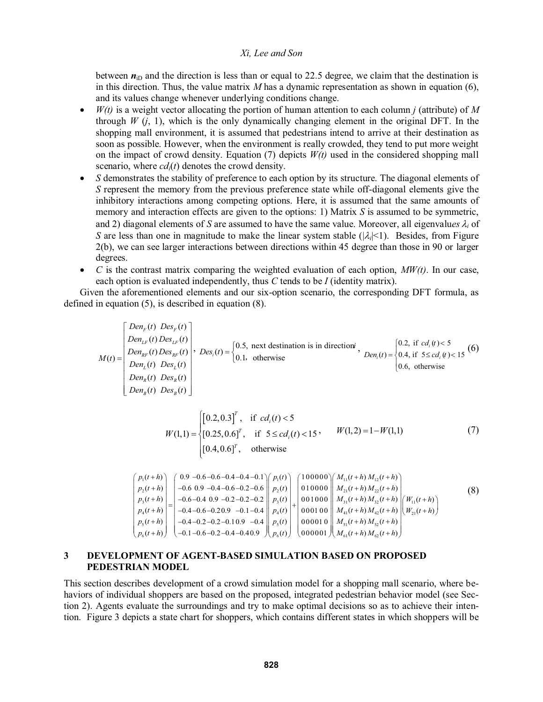between  $n_{\text{ID}}$  and the direction is less than or equal to 22.5 degree, we claim that the destination is in this direction. Thus, the value matrix *M* has a dynamic representation as shown in equation (6), and its values change whenever underlying conditions change.

- *W(t)* is a weight vector allocating the portion of human attention to each column *j* (attribute) of *M* through  $W$  (*j*, 1), which is the only dynamically changing element in the original DFT. In the shopping mall environment, it is assumed that pedestrians intend to arrive at their destination as soon as possible. However, when the environment is really crowded, they tend to put more weight on the impact of crowd density. Equation (7) depicts *W(t)* used in the considered shopping mall scenario, where *cd<sub>i</sub>(t)* denotes the crowd density.
- *S* demonstrates the stability of preference to each option by its structure. The diagonal elements of *S* represent the memory from the previous preference state while off-diagonal elements give the inhibitory interactions among competing options. Here, it is assumed that the same amounts of memory and interaction effects are given to the options: 1) Matrix *S* is assumed to be symmetric, and 2) diagonal elements of *S* are assumed to have the same value. Moreover, all eigenvalues  $\lambda_i$  of *S* are less than one in magnitude to make the linear system stable  $(|\lambda|<1)$ . Besides, from Figure 2(b), we can see larger interactions between directions within 45 degree than those in 90 or larger degrees.
- $\bullet$  *C* is the contrast matrix comparing the weighted evaluation of each option,  $MW(t)$ . In our case, each option is evaluated independently, thus *C* tends to be *I* (identity matrix).

Given the aforementioned elements and our six-option scenario, the corresponding DFT formula, as defined in equation (5), is described in equation (8).

$$
M(t) = \begin{bmatrix} Den_{F}(t) Des_{F}(t) \\ Den_{F}(t) Des_{F}(t) \\ Den_{F}(t) Des_{F}(t) \\ Den_{L}(t) Des_{L}(t) \\ Den_{R}(t) Des_{R}(t) \end{bmatrix}, \quad Des_{I}(t) = \begin{cases} 0.5, \text{ next destination is in direction, } \\ 0.1, \text{ otherwise} \end{cases}, \quad Den_{I}(t) = \begin{cases} 0.2, \text{ if } cd_{i}(t) < 5 \\ 0.4, \text{ if } 5 \leq cd_{i}(t) < 15 \end{cases}
$$

$$
W(1,1) = \begin{cases} \begin{bmatrix} 0.2, 0.3 \end{bmatrix}^T, & \text{if } cd_i(t) < 5\\ \begin{bmatrix} 0.25, 0.6 \end{bmatrix}^T, & \text{if } 5 \le cd_i(t) < 15 \end{bmatrix}, \qquad W(1,2) = 1 - W(1,1) \end{cases} \tag{7}
$$
\n
$$
(7)
$$
\n
$$
[0.4, 0.6]^T, \qquad \text{otherwise}
$$

$$
\begin{pmatrix}\np_1(t+h) \\
p_2(t+h) \\
p_3(t+h) \\
p_4(t+h) \\
p_5(t+h) \\
p_6(t+h)\n\end{pmatrix}\n=\n\begin{pmatrix}\n0.9 - 0.6 - 0.6 - 0.4 - 0.4 - 0.1 \\
-0.6 - 0.9 - 0.4 - 0.6 - 0.2 - 0.2 \\
-0.6 - 0.4 - 0.6 - 0.2 - 0.2 - 0.2\n\end{pmatrix}\n\begin{pmatrix}\np_1(t) \\
p_2(t) \\
p_3(t) \\
p_4(t)\n\end{pmatrix}\n+\n\begin{pmatrix}\n100000 \\
010000 \\
001000 \\
001000 \\
000100\n\end{pmatrix}\n\begin{pmatrix}\nM_{11}(t+h) M_{12}(t+h) \\
M_{21}(t+h) M_{22}(t+h) \\
M_{31}(t+h) M_{32}(t+h) \\
M_{41}(t+h) M_{42}(t+h) \\
M_{51}(t+h) M_{42}(t+h)\n\end{pmatrix}\n\begin{pmatrix}\nW_{11}(t+h) \\
W_{11}(t+h) \\
W_{21}(t+h) \\
W_{31}(t+h) \\
W_{41}(t+h) M_{42}(t+h) \\
M_{51}(t+h) M_{52}(t+h)\n\end{pmatrix}
$$
\n(8)

### **3 DEVELOPMENT OF AGENT-BASED SIMULATION BASED ON PROPOSED PEDESTRIAN MODEL**

This section describes development of a crowd simulation model for a shopping mall scenario, where behaviors of individual shoppers are based on the proposed, integrated pedestrian behavior model (see Section 2). Agents evaluate the surroundings and try to make optimal decisions so as to achieve their intention. Figure 3 depicts a state chart for shoppers, which contains different states in which shoppers will be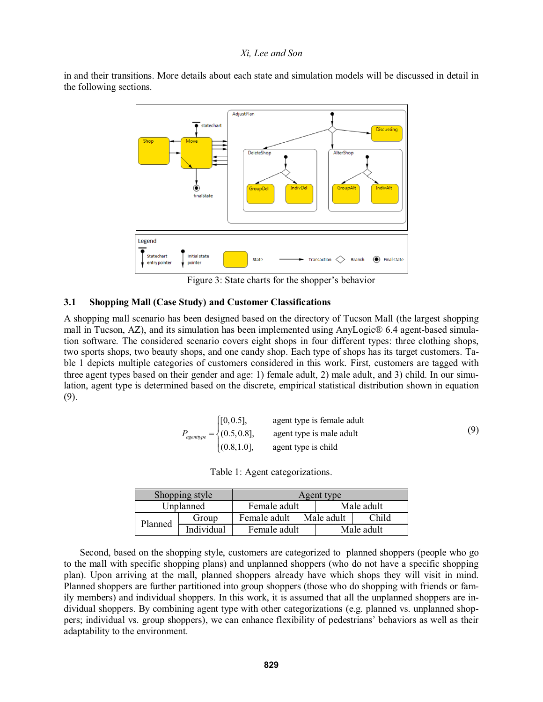in and their transitions. More details about each state and simulation models will be discussed in detail in the following sections.



Figure 3: State charts for the shopper's behavior

#### **3.1 Shopping Mall (Case Study) and Customer Classifications**

A shopping mall scenario has been designed based on the directory of Tucson Mall (the largest shopping mall in Tucson, AZ), and its simulation has been implemented using AnyLogic® 6.4 agent-based simulation software. The considered scenario covers eight shops in four different types: three clothing shops, two sports shops, two beauty shops, and one candy shop. Each type of shops has its target customers. Table 1 depicts multiple categories of customers considered in this work. First, customers are tagged with three agent types based on their gender and age: 1) female adult, 2) male adult, and 3) child. In our simulation, agent type is determined based on the discrete, empirical statistical distribution shown in equation (9).

$$
P_{\text{agenttype}} = \begin{cases} [0, 0.5], & \text{agent type is female adult} \\ (0.5, 0.8], & \text{agent type is male adult} \\ (0.8, 1.0], & \text{agent type is child} \end{cases} \tag{9}
$$

Table 1: Agent categorizations.

| Shopping style |            | Agent type   |            |            |       |
|----------------|------------|--------------|------------|------------|-------|
| Unplanned      |            | Female adult |            | Male adult |       |
| Planned        | Group      | Female adult | Male adult |            | Child |
|                | Individual | Female adult |            | Male adult |       |

 Second, based on the shopping style, customers are categorized to planned shoppers (people who go to the mall with specific shopping plans) and unplanned shoppers (who do not have a specific shopping plan). Upon arriving at the mall, planned shoppers already have which shops they will visit in mind. Planned shoppers are further partitioned into group shoppers (those who do shopping with friends or family members) and individual shoppers. In this work, it is assumed that all the unplanned shoppers are individual shoppers. By combining agent type with other categorizations (e.g. planned vs. unplanned shoppers; individual vs. group shoppers), we can enhance flexibility of pedestrians behaviors as well as their adaptability to the environment.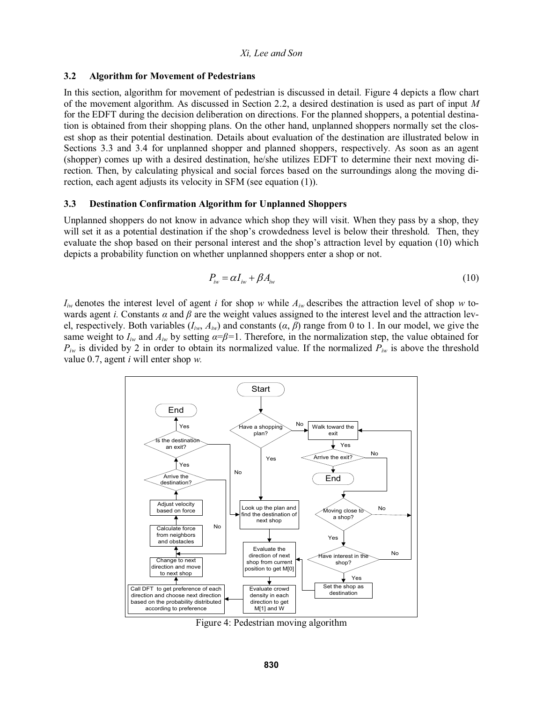### **3.2 Algorithm for Movement of Pedestrians**

In this section, algorithm for movement of pedestrian is discussed in detail. Figure 4 depicts a flow chart of the movement algorithm. As discussed in Section 2.2, a desired destination is used as part of input *M* for the EDFT during the decision deliberation on directions. For the planned shoppers, a potential destination is obtained from their shopping plans. On the other hand, unplanned shoppers normally set the closest shop as their potential destination. Details about evaluation of the destination are illustrated below in Sections 3.3 and 3.4 for unplanned shopper and planned shoppers, respectively. As soon as an agent (shopper) comes up with a desired destination, he/she utilizes EDFT to determine their next moving direction. Then, by calculating physical and social forces based on the surroundings along the moving direction, each agent adjusts its velocity in SFM (see equation (1)).

### **3.3 Destination Confirmation Algorithm for Unplanned Shoppers**

Unplanned shoppers do not know in advance which shop they will visit. When they pass by a shop, they will set it as a potential destination if the shop's crowdedness level is below their threshold. Then, they evaluate the shop based on their personal interest and the shop's attraction level by equation (10) which depicts a probability function on whether unplanned shoppers enter a shop or not.

$$
P_{iw} = \alpha I_{iw} + \beta A_{iw} \tag{10}
$$

 $I_{iw}$  denotes the interest level of agent *i* for shop *w* while  $A_{iw}$  describes the attraction level of shop *w* towards agent *i*. Constants  $\alpha$  and  $\beta$  are the weight values assigned to the interest level and the attraction level, respectively. Both variables ( $I_{iw}$ ,  $A_{iw}$ ) and constants ( $\alpha$ ,  $\beta$ ) range from 0 to 1. In our model, we give the same weight to  $I_{iw}$  and  $A_{iw}$  by setting  $\alpha = \beta = 1$ . Therefore, in the normalization step, the value obtained for  $P_{iw}$  is divided by 2 in order to obtain its normalized value. If the normalized  $P_{iw}$  is above the threshold value 0.7, agent *i* will enter shop *w.*



Figure 4: Pedestrian moving algorithm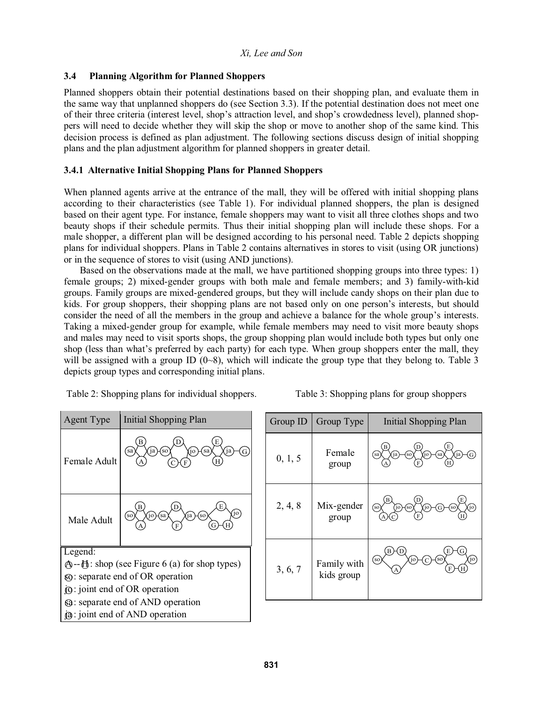# **3.4 Planning Algorithm for Planned Shoppers**

Planned shoppers obtain their potential destinations based on their shopping plan, and evaluate them in the same way that unplanned shoppers do (see Section 3.3). If the potential destination does not meet one of their three criteria (interest level, shop's attraction level, and shop's crowdedness level), planned shoppers will need to decide whether they will skip the shop or move to another shop of the same kind. This decision process is defined as plan adjustment. The following sections discuss design of initial shopping plans and the plan adjustment algorithm for planned shoppers in greater detail.

# **3.4.1 Alternative Initial Shopping Plans for Planned Shoppers**

When planned agents arrive at the entrance of the mall, they will be offered with initial shopping plans according to their characteristics (see Table 1). For individual planned shoppers, the plan is designed based on their agent type. For instance, female shoppers may want to visit all three clothes shops and two beauty shops if their schedule permits. Thus their initial shopping plan will include these shops. For a male shopper, a different plan will be designed according to his personal need. Table 2 depicts shopping plans for individual shoppers. Plans in Table 2 contains alternatives in stores to visit (using OR junctions) or in the sequence of stores to visit (using AND junctions).

Based on the observations made at the mall, we have partitioned shopping groups into three types: 1) female groups; 2) mixed-gender groups with both male and female members; and 3) family-with-kid groups. Family groups are mixed-gendered groups, but they will include candy shops on their plan due to kids. For group shoppers, their shopping plans are not based only on one person's interests, but should consider the need of all the members in the group and achieve a balance for the whole group's interests. Taking a mixed-gender group for example, while female members may need to visit more beauty shops and males may need to visit sports shops, the group shopping plan would include both types but only one shop (less than what's preferred by each party) for each type. When group shoppers enter the mall, they will be assigned with a group ID  $(0-8)$ , which will indicate the group type that they belong to. Table 3 depicts group types and corresponding initial plans.

|  | Table 2: Shopping plans for individual shoppers. |  |
|--|--------------------------------------------------|--|
|  |                                                  |  |

Table 3: Shopping plans for group shoppers.

| <b>Agent Type</b>                                                    | <b>Initial Shopping Plan</b>                                |  |  |  |  |
|----------------------------------------------------------------------|-------------------------------------------------------------|--|--|--|--|
| Female Adult                                                         | в<br>sa<br>sa<br>ja<br>so)<br>10<br>Η                       |  |  |  |  |
| Male Adult                                                           | E<br>В<br>jo<br>so<br>'sa<br>io<br><sub>SO</sub><br>ia<br>F |  |  |  |  |
| Legend:                                                              |                                                             |  |  |  |  |
| $\mathfrak{g}-\mathfrak{h}$ : shop (see Figure 6 (a) for shop types) |                                                             |  |  |  |  |
| <b>80:</b> separate end of OR operation                              |                                                             |  |  |  |  |
| $\dot{\mathbf{Q}}$ : joint end of OR operation                       |                                                             |  |  |  |  |
| <b>89:</b> separate end of AND operation                             |                                                             |  |  |  |  |
| $\mathbf{\hat{a}}$ : joint end of AND operation                      |                                                             |  |  |  |  |

| Group ID | Group Type                | Initial Shopping Plan                      |  |  |
|----------|---------------------------|--------------------------------------------|--|--|
| 0, 1, 5  | Female<br>group           | E<br>B<br>ʻia<br>sa)<br>(sa)<br>(so)<br>ĵо |  |  |
| 2, 4, 8  | Mix-gender<br>group       | B<br>90<br>Ĵо<br>(so)<br>(so)<br>so<br>io  |  |  |
| 3, 6, 7  | Family with<br>kids group | ĵо<br>Ĝо<br>'so<br>(so)<br>F               |  |  |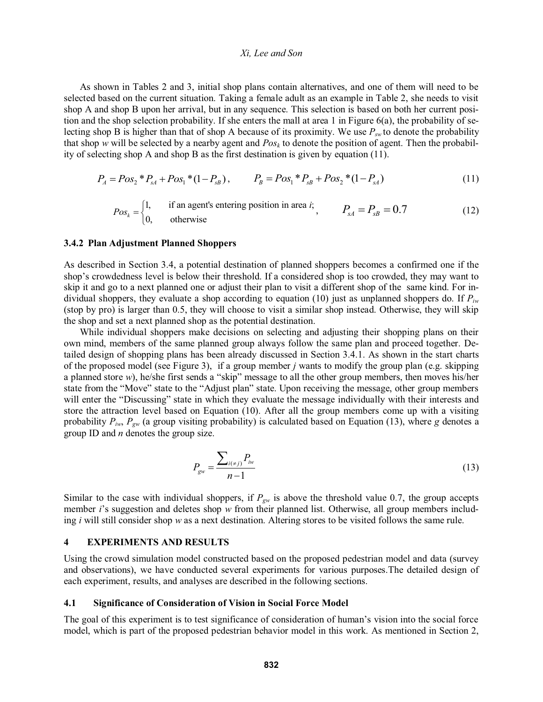As shown in Tables 2 and 3, initial shop plans contain alternatives, and one of them will need to be selected based on the current situation. Taking a female adult as an example in Table 2, she needs to visit shop A and shop B upon her arrival, but in any sequence. This selection is based on both her current position and the shop selection probability. If she enters the mall at area 1 in Figure  $6(a)$ , the probability of selecting shop B is higher than that of shop A because of its proximity. We use  $P_{sw}$  to denote the probability that shop *w* will be selected by a nearby agent and *Posk* to denote the position of agent. Then the probability of selecting shop A and shop B as the first destination is given by equation (11).

$$
P_A = Pos_2 * P_{sA} + Pos_1 * (1 - P_{sB}), \qquad P_B = Pos_1 * P_{sB} + Pos_2 * (1 - P_{sA})
$$
\n
$$
(11)
$$

$$
Pos_k = \begin{cases} 1, & \text{if an agent's entering position in area } i; \\ 0, & \text{otherwise} \end{cases}, \qquad P_{sA} = P_{sB} = 0.7 \tag{12}
$$

#### **3.4.2 Plan Adjustment Planned Shoppers**

As described in Section 3.4, a potential destination of planned shoppers becomes a confirmed one if the shop's crowdedness level is below their threshold. If a considered shop is too crowded, they may want to skip it and go to a next planned one or adjust their plan to visit a different shop of the same kind. For individual shoppers, they evaluate a shop according to equation (10) just as unplanned shoppers do. If  $P_{iw}$ (stop by pro) is larger than 0.5, they will choose to visit a similar shop instead. Otherwise, they will skip the shop and set a next planned shop as the potential destination.

While individual shoppers make decisions on selecting and adjusting their shopping plans on their own mind, members of the same planned group always follow the same plan and proceed together. Detailed design of shopping plans has been already discussed in Section 3.4.1. As shown in the start charts of the proposed model (see Figure 3), if a group member *j* wants to modify the group plan (e.g. skipping a planned store  $w$ ), he/she first sends a "skip" message to all the other group members, then moves his/her state from the "Move" state to the "Adjust plan" state. Upon receiving the message, other group members will enter the "Discussing" state in which they evaluate the message individually with their interests and store the attraction level based on Equation (10). After all the group members come up with a visiting probability  $P_{iw}$ ,  $P_{gw}$  (a group visiting probability) is calculated based on Equation (13), where *g* denotes a group ID and *n* denotes the group size.

$$
P_{\rm gw} = \frac{\sum_{i(\neq j)} P_{iw}}{n-1}
$$
 (13)

Similar to the case with individual shoppers, if  $P_{gw}$  is above the threshold value 0.7, the group accepts member *i*'s suggestion and deletes shop *w* from their planned list. Otherwise, all group members including *i* will still consider shop *w* as a next destination. Altering stores to be visited follows the same rule.

### **4 EXPERIMENTS AND RESULTS**

Using the crowd simulation model constructed based on the proposed pedestrian model and data (survey and observations), we have conducted several experiments for various purposes.The detailed design of each experiment, results, and analyses are described in the following sections.

#### **4.1 Significance of Consideration of Vision in Social Force Model**

The goal of this experiment is to test significance of consideration of human's vision into the social force model, which is part of the proposed pedestrian behavior model in this work. As mentioned in Section 2,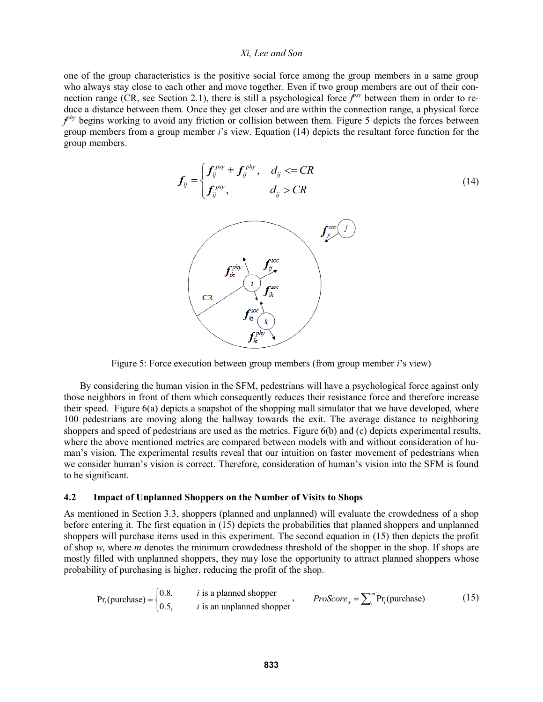one of the group characteristics is the positive social force among the group members in a same group who always stay close to each other and move together. Even if two group members are out of their connection range (CR, see Section 2.1), there is still a psychological force  $f<sup>isy</sup>$  between them in order to reduce a distance between them. Once they get closer and are within the connection range, a physical force *f*<sup>hy</sup> begins working to avoid any friction or collision between them. Figure 5 depicts the forces between group members from a group member *i*s view. Equation (14) depicts the resultant force function for the group members.



Figure 5: Force execution between group members (from group member *i*'s view)

By considering the human vision in the SFM, pedestrians will have a psychological force against only those neighbors in front of them which consequently reduces their resistance force and therefore increase their speed. Figure 6(a) depicts a snapshot of the shopping mall simulator that we have developed, where 100 pedestrians are moving along the hallway towards the exit. The average distance to neighboring shoppers and speed of pedestrians are used as the metrics. Figure 6(b) and (c) depicts experimental results, where the above mentioned metrics are compared between models with and without consideration of hu man's vision. The experimental results reveal that our intuition on faster movement of pedestrians when we consider human's vision is correct. Therefore, consideration of human's vision into the SFM is found to be significant.

#### **4.2 Impact of Unplanned Shoppers on the Number of Visits to Shops**

As mentioned in Section 3.3, shoppers (planned and unplanned) will evaluate the crowdedness of a shop before entering it. The first equation in (15) depicts the probabilities that planned shoppers and unplanned shoppers will purchase items used in this experiment. The second equation in (15) then depicts the profit of shop *w*, where *m* denotes the minimum crowdedness threshold of the shopper in the shop. If shops are mostly filled with unplanned shoppers, they may lose the opportunity to attract planned shoppers whose probability of purchasing is higher, reducing the profit of the shop.

$$
Pr_i(\text{purchase}) = \begin{cases} 0.8, & i \text{ is a planned shopper} \\ 0.5, & i \text{ is an unplanned shopper} \end{cases}, \qquad ProScore_w = \sum_{i}^{m} Pr_i(\text{purchase}) \tag{15}
$$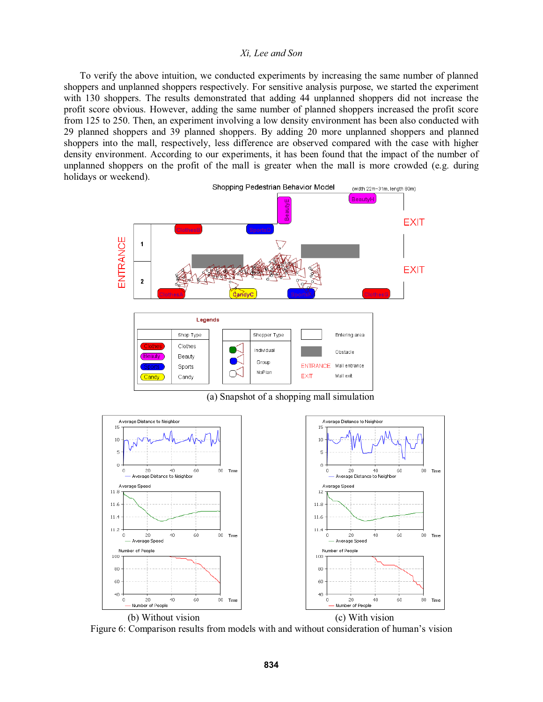To verify the above intuition, we conducted experiments by increasing the same number of planned shoppers and unplanned shoppers respectively. For sensitive analysis purpose, we started the experiment with 130 shoppers. The results demonstrated that adding 44 unplanned shoppers did not increase the profit score obvious. However, adding the same number of planned shoppers increased the profit score from 125 to 250. Then, an experiment involving a low density environment has been also conducted with 29 planned shoppers and 39 planned shoppers. By adding 20 more unplanned shoppers and planned shoppers into the mall, respectively, less difference are observed compared with the case with higher density environment. According to our experiments, it has been found that the impact of the number of unplanned shoppers on the profit of the mall is greater when the mall is more crowded (e.g. during holidays or weekend).



(a) Snapshot of a shopping mall simulation



Figure 6: Comparison results from models with and without consideration of human's vision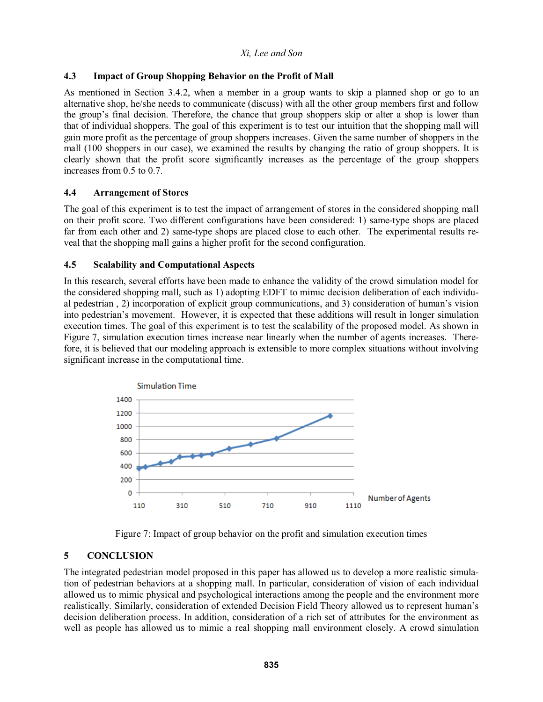# **4.3 Impact of Group Shopping Behavior on the Profit of Mall**

As mentioned in Section 3.4.2, when a member in a group wants to skip a planned shop or go to an alternative shop, he/she needs to communicate (discuss) with all the other group members first and follow the group's final decision. Therefore, the chance that group shoppers skip or alter a shop is lower than that of individual shoppers. The goal of this experiment is to test our intuition that the shopping mall will gain more profit as the percentage of group shoppers increases. Given the same number of shoppers in the mall (100 shoppers in our case), we examined the results by changing the ratio of group shoppers. It is clearly shown that the profit score significantly increases as the percentage of the group shoppers increases from 0.5 to 0.7.

# **4.4 Arrangement of Stores**

The goal of this experiment is to test the impact of arrangement of stores in the considered shopping mall on their profit score. Two different configurations have been considered: 1) same-type shops are placed far from each other and 2) same-type shops are placed close to each other. The experimental results reveal that the shopping mall gains a higher profit for the second configuration.

# **4.5 Scalability and Computational Aspects**

In this research, several efforts have been made to enhance the validity of the crowd simulation model for the considered shopping mall, such as 1) adopting EDFT to mimic decision deliberation of each individual pedestrian, 2) incorporation of explicit group communications, and 3) consideration of human's vision into pedestrian's movement. However, it is expected that these additions will result in longer simulation execution times. The goal of this experiment is to test the scalability of the proposed model. As shown in Figure 7, simulation execution times increase near linearly when the number of agents increases. Therefore, it is believed that our modeling approach is extensible to more complex situations without involving significant increase in the computational time.





# **5 CONCLUSION**

The integrated pedestrian model proposed in this paper has allowed us to develop a more realistic simulation of pedestrian behaviors at a shopping mall. In particular, consideration of vision of each individual allowed us to mimic physical and psychological interactions among the people and the environment more realistically. Similarly, consideration of extended Decision Field Theory allowed us to represent human decision deliberation process. In addition, consideration of a rich set of attributes for the environment as well as people has allowed us to mimic a real shopping mall environment closely. A crowd simulation